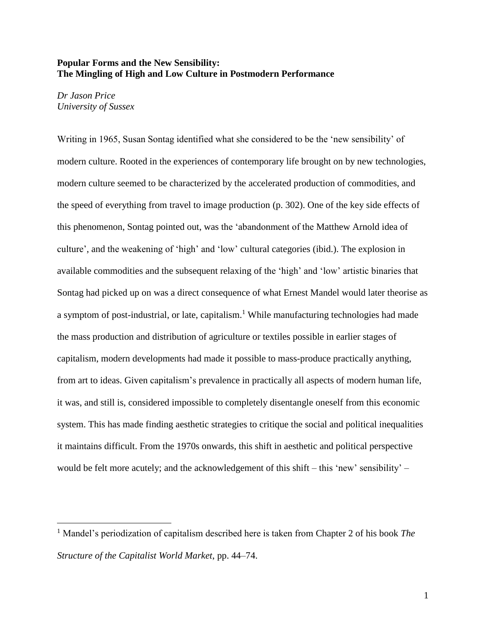## **Popular Forms and the New Sensibility: The Mingling of High and Low Culture in Postmodern Performance**

*Dr Jason Price University of Sussex*

i<br>L

Writing in 1965, Susan Sontag identified what she considered to be the 'new sensibility' of modern culture. Rooted in the experiences of contemporary life brought on by new technologies, modern culture seemed to be characterized by the accelerated production of commodities, and the speed of everything from travel to image production (p. 302). One of the key side effects of this phenomenon, Sontag pointed out, was the 'abandonment of the Matthew Arnold idea of culture', and the weakening of 'high' and 'low' cultural categories (ibid.). The explosion in available commodities and the subsequent relaxing of the 'high' and 'low' artistic binaries that Sontag had picked up on was a direct consequence of what Ernest Mandel would later theorise as a symptom of post-industrial, or late, capitalism.<sup>1</sup> While manufacturing technologies had made the mass production and distribution of agriculture or textiles possible in earlier stages of capitalism, modern developments had made it possible to mass-produce practically anything, from art to ideas. Given capitalism's prevalence in practically all aspects of modern human life, it was, and still is, considered impossible to completely disentangle oneself from this economic system. This has made finding aesthetic strategies to critique the social and political inequalities it maintains difficult. From the 1970s onwards, this shift in aesthetic and political perspective would be felt more acutely; and the acknowledgement of this shift – this 'new' sensibility' –

<sup>1</sup> Mandel's periodization of capitalism described here is taken from Chapter 2 of his book *The Structure of the Capitalist World Market*, pp. 44–74.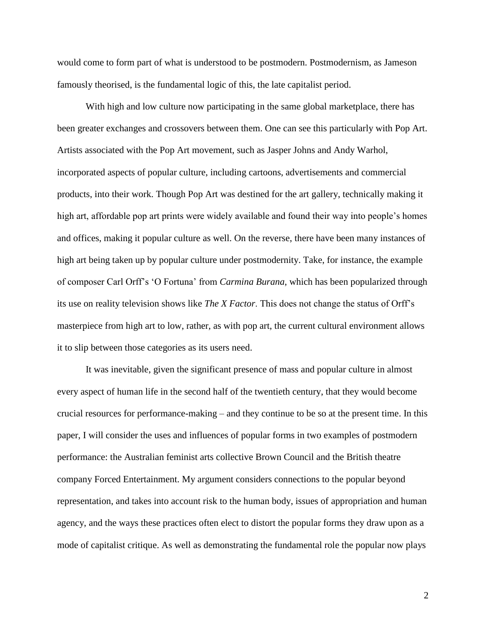would come to form part of what is understood to be postmodern. Postmodernism, as Jameson famously theorised, is the fundamental logic of this, the late capitalist period.

With high and low culture now participating in the same global marketplace, there has been greater exchanges and crossovers between them. One can see this particularly with Pop Art. Artists associated with the Pop Art movement, such as Jasper Johns and Andy Warhol, incorporated aspects of popular culture, including cartoons, advertisements and commercial products, into their work. Though Pop Art was destined for the art gallery, technically making it high art, affordable pop art prints were widely available and found their way into people's homes and offices, making it popular culture as well. On the reverse, there have been many instances of high art being taken up by popular culture under postmodernity. Take, for instance, the example of composer Carl Orff's 'O Fortuna' from *Carmina Burana*, which has been popularized through its use on reality television shows like *The X Factor*. This does not change the status of Orff's masterpiece from high art to low, rather, as with pop art, the current cultural environment allows it to slip between those categories as its users need.

It was inevitable, given the significant presence of mass and popular culture in almost every aspect of human life in the second half of the twentieth century, that they would become crucial resources for performance-making – and they continue to be so at the present time. In this paper, I will consider the uses and influences of popular forms in two examples of postmodern performance: the Australian feminist arts collective Brown Council and the British theatre company Forced Entertainment. My argument considers connections to the popular beyond representation, and takes into account risk to the human body, issues of appropriation and human agency, and the ways these practices often elect to distort the popular forms they draw upon as a mode of capitalist critique. As well as demonstrating the fundamental role the popular now plays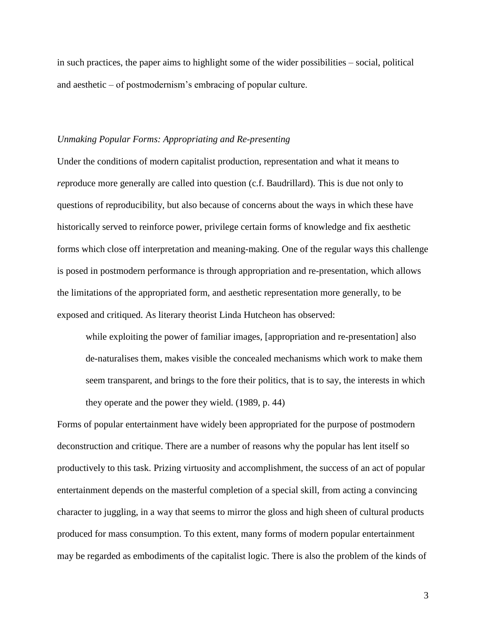in such practices, the paper aims to highlight some of the wider possibilities – social, political and aesthetic – of postmodernism's embracing of popular culture.

## *Unmaking Popular Forms: Appropriating and Re-presenting*

Under the conditions of modern capitalist production, representation and what it means to *reproduce more generally are called into question (c.f. Baudrillard). This is due not only to* questions of reproducibility, but also because of concerns about the ways in which these have historically served to reinforce power, privilege certain forms of knowledge and fix aesthetic forms which close off interpretation and meaning-making. One of the regular ways this challenge is posed in postmodern performance is through appropriation and re-presentation, which allows the limitations of the appropriated form, and aesthetic representation more generally, to be exposed and critiqued. As literary theorist Linda Hutcheon has observed:

while exploiting the power of familiar images, [appropriation and re-presentation] also de-naturalises them, makes visible the concealed mechanisms which work to make them seem transparent, and brings to the fore their politics, that is to say, the interests in which they operate and the power they wield. (1989, p. 44)

Forms of popular entertainment have widely been appropriated for the purpose of postmodern deconstruction and critique. There are a number of reasons why the popular has lent itself so productively to this task. Prizing virtuosity and accomplishment, the success of an act of popular entertainment depends on the masterful completion of a special skill, from acting a convincing character to juggling, in a way that seems to mirror the gloss and high sheen of cultural products produced for mass consumption. To this extent, many forms of modern popular entertainment may be regarded as embodiments of the capitalist logic. There is also the problem of the kinds of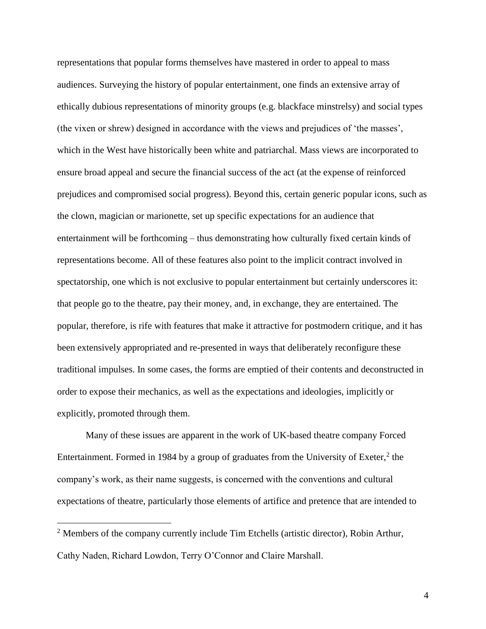representations that popular forms themselves have mastered in order to appeal to mass audiences. Surveying the history of popular entertainment, one finds an extensive array of ethically dubious representations of minority groups (e.g. blackface minstrelsy) and social types (the vixen or shrew) designed in accordance with the views and prejudices of 'the masses', which in the West have historically been white and patriarchal. Mass views are incorporated to ensure broad appeal and secure the financial success of the act (at the expense of reinforced prejudices and compromised social progress). Beyond this, certain generic popular icons, such as the clown, magician or marionette, set up specific expectations for an audience that entertainment will be forthcoming – thus demonstrating how culturally fixed certain kinds of representations become. All of these features also point to the implicit contract involved in spectatorship, one which is not exclusive to popular entertainment but certainly underscores it: that people go to the theatre, pay their money, and, in exchange, they are entertained. The popular, therefore, is rife with features that make it attractive for postmodern critique, and it has been extensively appropriated and re-presented in ways that deliberately reconfigure these traditional impulses. In some cases, the forms are emptied of their contents and deconstructed in order to expose their mechanics, as well as the expectations and ideologies, implicitly or explicitly, promoted through them.

Many of these issues are apparent in the work of UK-based theatre company Forced Entertainment. Formed in 1984 by a group of graduates from the University of Exeter, $2$  the company's work, as their name suggests, is concerned with the conventions and cultural expectations of theatre, particularly those elements of artifice and pretence that are intended to

i<br>L

 $2$  Members of the company currently include Tim Etchells (artistic director), Robin Arthur, Cathy Naden, Richard Lowdon, Terry O'Connor and Claire Marshall.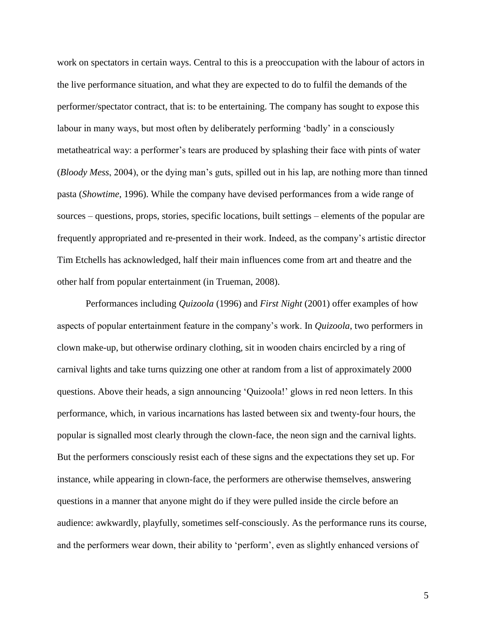work on spectators in certain ways. Central to this is a preoccupation with the labour of actors in the live performance situation, and what they are expected to do to fulfil the demands of the performer/spectator contract, that is: to be entertaining. The company has sought to expose this labour in many ways, but most often by deliberately performing 'badly' in a consciously metatheatrical way: a performer's tears are produced by splashing their face with pints of water (*Bloody Mess*, 2004), or the dying man's guts, spilled out in his lap, are nothing more than tinned pasta (*Showtime*, 1996). While the company have devised performances from a wide range of sources – questions, props, stories, specific locations, built settings – elements of the popular are frequently appropriated and re-presented in their work. Indeed, as the company's artistic director Tim Etchells has acknowledged, half their main influences come from art and theatre and the other half from popular entertainment (in Trueman, 2008).

Performances including *Quizoola* (1996) and *First Night* (2001) offer examples of how aspects of popular entertainment feature in the company's work. In *Quizoola*, two performers in clown make-up, but otherwise ordinary clothing, sit in wooden chairs encircled by a ring of carnival lights and take turns quizzing one other at random from a list of approximately 2000 questions. Above their heads, a sign announcing 'Quizoola!' glows in red neon letters. In this performance, which, in various incarnations has lasted between six and twenty-four hours, the popular is signalled most clearly through the clown-face, the neon sign and the carnival lights. But the performers consciously resist each of these signs and the expectations they set up. For instance, while appearing in clown-face, the performers are otherwise themselves, answering questions in a manner that anyone might do if they were pulled inside the circle before an audience: awkwardly, playfully, sometimes self-consciously. As the performance runs its course, and the performers wear down, their ability to 'perform', even as slightly enhanced versions of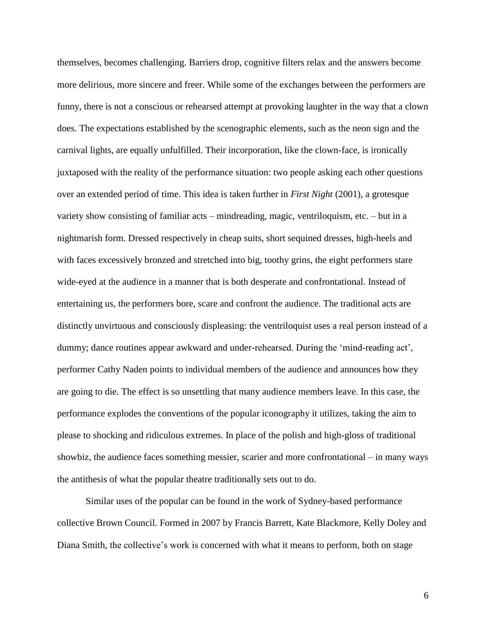themselves, becomes challenging. Barriers drop, cognitive filters relax and the answers become more delirious, more sincere and freer. While some of the exchanges between the performers are funny, there is not a conscious or rehearsed attempt at provoking laughter in the way that a clown does. The expectations established by the scenographic elements, such as the neon sign and the carnival lights, are equally unfulfilled. Their incorporation, like the clown-face, is ironically juxtaposed with the reality of the performance situation: two people asking each other questions over an extended period of time. This idea is taken further in *First Night* (2001), a grotesque variety show consisting of familiar acts – mindreading, magic, ventriloquism, etc. – but in a nightmarish form. Dressed respectively in cheap suits, short sequined dresses, high-heels and with faces excessively bronzed and stretched into big, toothy grins, the eight performers stare wide-eyed at the audience in a manner that is both desperate and confrontational. Instead of entertaining us, the performers bore, scare and confront the audience. The traditional acts are distinctly unvirtuous and consciously displeasing: the ventriloquist uses a real person instead of a dummy; dance routines appear awkward and under-rehearsed. During the 'mind-reading act', performer Cathy Naden points to individual members of the audience and announces how they are going to die. The effect is so unsettling that many audience members leave. In this case, the performance explodes the conventions of the popular iconography it utilizes, taking the aim to please to shocking and ridiculous extremes. In place of the polish and high-gloss of traditional showbiz, the audience faces something messier, scarier and more confrontational – in many ways the antithesis of what the popular theatre traditionally sets out to do.

Similar uses of the popular can be found in the work of Sydney-based performance collective Brown Council. Formed in 2007 by Francis Barrett, Kate Blackmore, Kelly Doley and Diana Smith, the collective's work is concerned with what it means to perform, both on stage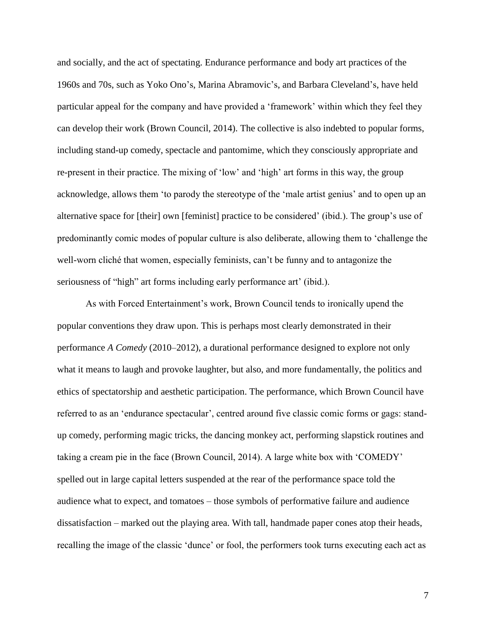and socially, and the act of spectating. Endurance performance and body art practices of the 1960s and 70s, such as Yoko Ono's, Marina Abramovic's, and Barbara Cleveland's, have held particular appeal for the company and have provided a 'framework' within which they feel they can develop their work (Brown Council, 2014). The collective is also indebted to popular forms, including stand-up comedy, spectacle and pantomime, which they consciously appropriate and re-present in their practice. The mixing of 'low' and 'high' art forms in this way, the group acknowledge, allows them 'to parody the stereotype of the 'male artist genius' and to open up an alternative space for [their] own [feminist] practice to be considered' (ibid.). The group's use of predominantly comic modes of popular culture is also deliberate, allowing them to 'challenge the well-worn cliché that women, especially feminists, can't be funny and to antagonize the seriousness of "high" art forms including early performance art' (ibid.).

As with Forced Entertainment's work, Brown Council tends to ironically upend the popular conventions they draw upon. This is perhaps most clearly demonstrated in their performance *A Comedy* (2010–2012), a durational performance designed to explore not only what it means to laugh and provoke laughter, but also, and more fundamentally, the politics and ethics of spectatorship and aesthetic participation. The performance, which Brown Council have referred to as an 'endurance spectacular', centred around five classic comic forms or gags: standup comedy, performing magic tricks, the dancing monkey act, performing slapstick routines and taking a cream pie in the face (Brown Council, 2014). A large white box with 'COMEDY' spelled out in large capital letters suspended at the rear of the performance space told the audience what to expect, and tomatoes – those symbols of performative failure and audience dissatisfaction – marked out the playing area. With tall, handmade paper cones atop their heads, recalling the image of the classic 'dunce' or fool, the performers took turns executing each act as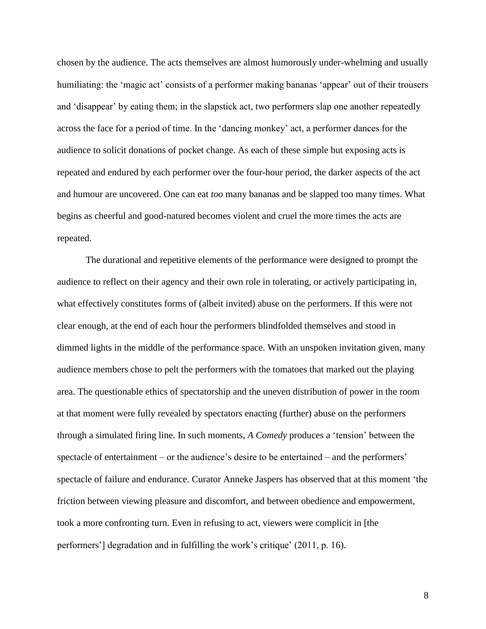chosen by the audience. The acts themselves are almost humorously under-whelming and usually humiliating: the 'magic act' consists of a performer making bananas 'appear' out of their trousers and 'disappear' by eating them; in the slapstick act, two performers slap one another repeatedly across the face for a period of time. In the 'dancing monkey' act, a performer dances for the audience to solicit donations of pocket change. As each of these simple but exposing acts is repeated and endured by each performer over the four-hour period, the darker aspects of the act and humour are uncovered. One can eat *too* many bananas and be slapped too many times. What begins as cheerful and good-natured becomes violent and cruel the more times the acts are repeated.

The durational and repetitive elements of the performance were designed to prompt the audience to reflect on their agency and their own role in tolerating, or actively participating in, what effectively constitutes forms of (albeit invited) abuse on the performers. If this were not clear enough, at the end of each hour the performers blindfolded themselves and stood in dimmed lights in the middle of the performance space. With an unspoken invitation given, many audience members chose to pelt the performers with the tomatoes that marked out the playing area. The questionable ethics of spectatorship and the uneven distribution of power in the room at that moment were fully revealed by spectators enacting (further) abuse on the performers through a simulated firing line. In such moments, *A Comedy* produces a 'tension' between the spectacle of entertainment – or the audience's desire to be entertained – and the performers' spectacle of failure and endurance. Curator Anneke Jaspers has observed that at this moment 'the friction between viewing pleasure and discomfort, and between obedience and empowerment, took a more confronting turn. Even in refusing to act, viewers were complicit in [the performers'] degradation and in fulfilling the work's critique' (2011, p. 16).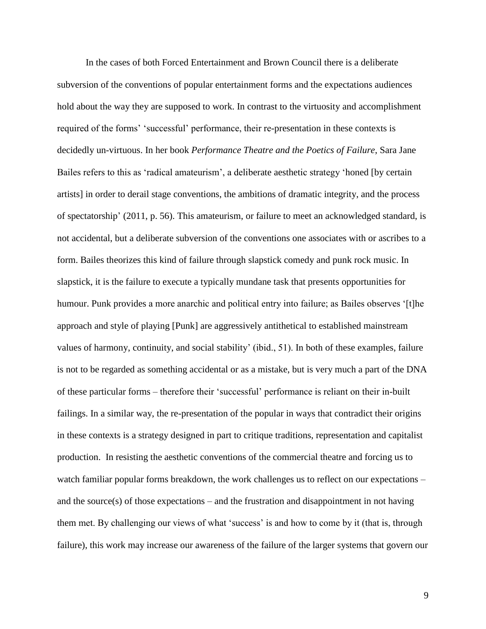In the cases of both Forced Entertainment and Brown Council there is a deliberate subversion of the conventions of popular entertainment forms and the expectations audiences hold about the way they are supposed to work. In contrast to the virtuosity and accomplishment required of the forms' 'successful' performance, their re-presentation in these contexts is decidedly un-virtuous. In her book *Performance Theatre and the Poetics of Failure*, Sara Jane Bailes refers to this as 'radical amateurism', a deliberate aesthetic strategy 'honed [by certain artists] in order to derail stage conventions, the ambitions of dramatic integrity, and the process of spectatorship' (2011, p. 56). This amateurism, or failure to meet an acknowledged standard, is not accidental, but a deliberate subversion of the conventions one associates with or ascribes to a form. Bailes theorizes this kind of failure through slapstick comedy and punk rock music. In slapstick, it is the failure to execute a typically mundane task that presents opportunities for humour. Punk provides a more anarchic and political entry into failure; as Bailes observes '[t]he approach and style of playing [Punk] are aggressively antithetical to established mainstream values of harmony, continuity, and social stability' (ibid., 51). In both of these examples, failure is not to be regarded as something accidental or as a mistake, but is very much a part of the DNA of these particular forms – therefore their 'successful' performance is reliant on their in-built failings. In a similar way, the re-presentation of the popular in ways that contradict their origins in these contexts is a strategy designed in part to critique traditions, representation and capitalist production. In resisting the aesthetic conventions of the commercial theatre and forcing us to watch familiar popular forms breakdown, the work challenges us to reflect on our expectations – and the source $(s)$  of those expectations – and the frustration and disappointment in not having them met. By challenging our views of what 'success' is and how to come by it (that is, through failure), this work may increase our awareness of the failure of the larger systems that govern our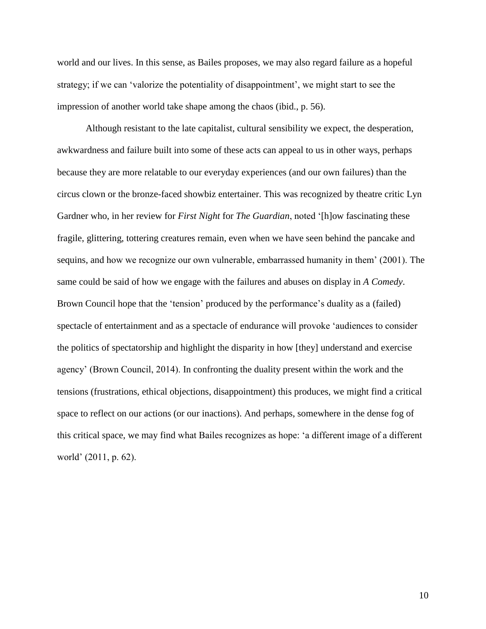world and our lives. In this sense, as Bailes proposes, we may also regard failure as a hopeful strategy; if we can 'valorize the potentiality of disappointment', we might start to see the impression of another world take shape among the chaos (ibid., p. 56).

Although resistant to the late capitalist, cultural sensibility we expect, the desperation, awkwardness and failure built into some of these acts can appeal to us in other ways, perhaps because they are more relatable to our everyday experiences (and our own failures) than the circus clown or the bronze-faced showbiz entertainer. This was recognized by theatre critic Lyn Gardner who, in her review for *First Night* for *The Guardian*, noted '[h]ow fascinating these fragile, glittering, tottering creatures remain, even when we have seen behind the pancake and sequins, and how we recognize our own vulnerable, embarrassed humanity in them' (2001). The same could be said of how we engage with the failures and abuses on display in *A Comedy*. Brown Council hope that the 'tension' produced by the performance's duality as a (failed) spectacle of entertainment and as a spectacle of endurance will provoke 'audiences to consider the politics of spectatorship and highlight the disparity in how [they] understand and exercise agency' (Brown Council, 2014). In confronting the duality present within the work and the tensions (frustrations, ethical objections, disappointment) this produces, we might find a critical space to reflect on our actions (or our inactions). And perhaps, somewhere in the dense fog of this critical space, we may find what Bailes recognizes as hope: 'a different image of a different world' (2011, p. 62).